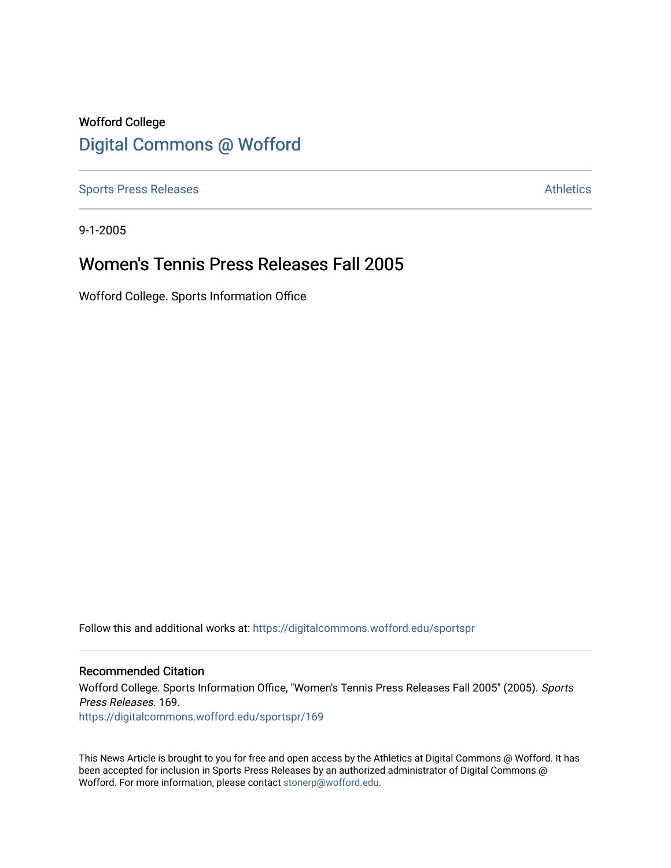# Wofford College [Digital Commons @ Wofford](https://digitalcommons.wofford.edu/)

[Sports Press Releases](https://digitalcommons.wofford.edu/sportspr) **Athletics** [Athletics](https://digitalcommons.wofford.edu/athletics) **Athletics** 

9-1-2005

## Women's Tennis Press Releases Fall 2005

Wofford College. Sports Information Office

Follow this and additional works at: [https://digitalcommons.wofford.edu/sportspr](https://digitalcommons.wofford.edu/sportspr?utm_source=digitalcommons.wofford.edu%2Fsportspr%2F169&utm_medium=PDF&utm_campaign=PDFCoverPages)

### Recommended Citation

Wofford College. Sports Information Office, "Women's Tennis Press Releases Fall 2005" (2005). Sports Press Releases. 169. [https://digitalcommons.wofford.edu/sportspr/169](https://digitalcommons.wofford.edu/sportspr/169?utm_source=digitalcommons.wofford.edu%2Fsportspr%2F169&utm_medium=PDF&utm_campaign=PDFCoverPages) 

This News Article is brought to you for free and open access by the Athletics at Digital Commons @ Wofford. It has been accepted for inclusion in Sports Press Releases by an authorized administrator of Digital Commons @ Wofford. For more information, please contact [stonerp@wofford.edu.](mailto:stonerp@wofford.edu)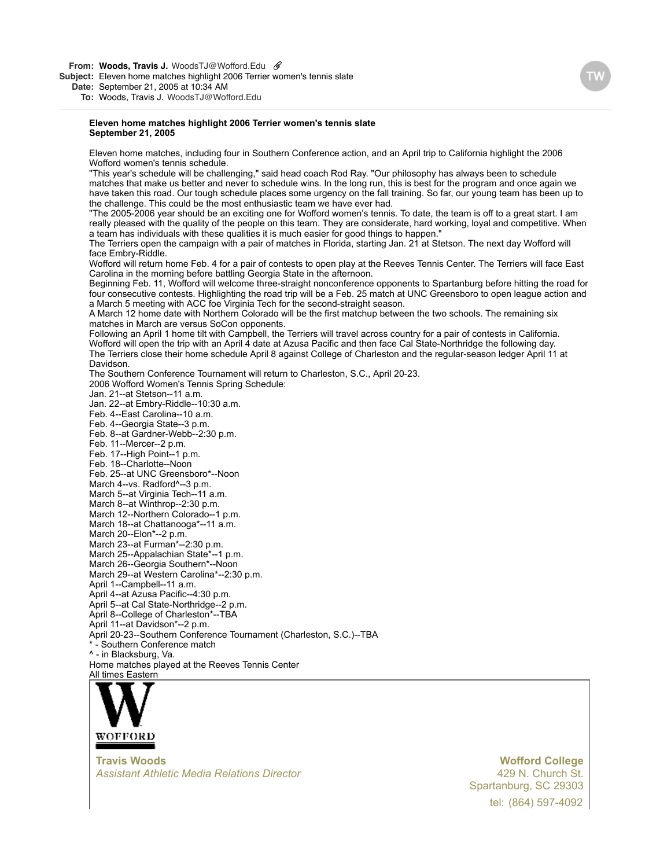**From: Woods, Travis J.** WoodsTJ@Wofford.Edu

**Subject:** Eleven home matches highlight 2006 Terrier women's tennis slate

**Date:** September 21, 2005 at 10:34 AM

**To:** Woods, Travis J. WoodsTJ@Wofford.Edu

#### **Eleven home matches highlight 2006 Terrier women's tennis slate September 21, 2005**

Eleven home matches, including four in Southern Conference action, and an April trip to California highlight the 2006 Wofford women's tennis schedule.

"This year's schedule will be challenging," said head coach Rod Ray. "Our philosophy has always been to schedule matches that make us better and never to schedule wins. In the long run, this is best for the program and once again we have taken this road. Our tough schedule places some urgency on the fall training. So far, our young team has been up to the challenge. This could be the most enthusiastic team we have ever had.

"The 2005-2006 year should be an exciting one for Wofford women's tennis. To date, the team is off to a great start. I am really pleased with the quality of the people on this team. They are considerate, hard working, loyal and competitive. When a team has individuals with these qualities it is much easier for good things to happen."

The Terriers open the campaign with a pair of matches in Florida, starting Jan. 21 at Stetson. The next day Wofford will face Embry-Riddle.

Wofford will return home Feb. 4 for a pair of contests to open play at the Reeves Tennis Center. The Terriers will face East Carolina in the morning before battling Georgia State in the afternoon.

Beginning Feb. 11, Wofford will welcome three-straight nonconference opponents to Spartanburg before hitting the road for four consecutive contests. Highlighting the road trip will be a Feb. 25 match at UNC Greensboro to open league action and a March 5 meeting with ACC foe Virginia Tech for the second-straight season.

A March 12 home date with Northern Colorado will be the first matchup between the two schools. The remaining six matches in March are versus SoCon opponents.

Following an April 1 home tilt with Campbell, the Terriers will travel across country for a pair of contests in California. Wofford will open the trip with an April 4 date at Azusa Pacific and then face Cal State-Northridge the following day. The Terriers close their home schedule April 8 against College of Charleston and the regular-season ledger April 11 at Davidson.

The Southern Conference Tournament will return to Charleston, S.C., April 20-23. 2006 Wofford Women's Tennis Spring Schedule:

Jan. 21--at Stetson--11 a.m.

Jan. 22--at Embry-Riddle--10:30 a.m.

Feb. 4--East Carolina--10 a.m.

Feb. 4--Georgia State--3 p.m.

Feb. 8--at Gardner-Webb--2:30 p.m.

Feb. 11--Mercer--2 p.m.

Feb. 17--High Point--1 p.m.

Feb. 18--Charlotte--Noon

Feb. 25--at UNC Greensboro\*--Noon March 4--vs. Radford^--3 p.m.

March 5--at Virginia Tech--11 a.m.

March 8--at Winthrop--2:30 p.m.

March 12--Northern Colorado--1 p.m.

March 18--at Chattanooga\*--11 a.m.

March 20--Elon\*--2 p.m.

March 23--at Furman\*--2:30 p.m.

March 25--Appalachian State\*--1 p.m.

March 26--Georgia Southern\*--Noon

March 29--at Western Carolina\*--2:30 p.m.

April 1--Campbell--11 a.m.

April 4--at Azusa Pacific--4:30 p.m.

April 5--at Cal State-Northridge--2 p.m.

April 8--College of Charleston\*--TBA

April 11--at Davidson\*--2 p.m.

April 20-23--Southern Conference Tournament (Charleston, S.C.)--TBA

- Southern Conference match ^ - in Blacksburg, Va.

Home matches played at the Reeves Tennis Center

[All times Eastern](http://www.wofford.edu/athletics)



**Travis Woods** *Assistant Athletic Media Relations Director* **Wofford College**

tel: (864) 597-4092 429 N. Church St. [Spartanburg, SC 29303](http://maps.yahoo.com/py/maps.py?Pyt=Tmap&addr=429+N.+Church+St.&csz=Spartanburg,+SC++29303&country=us)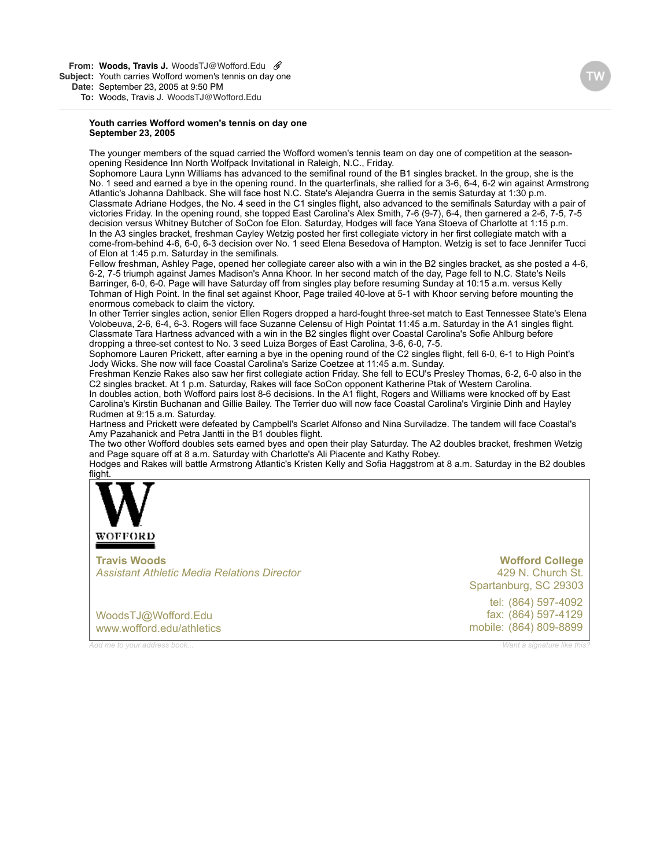**Youth carries Wofford women's tennis on day one September 23, 2005**

The younger members of the squad carried the Wofford women's tennis team on day one of competition at the seasonopening Residence Inn North Wolfpack Invitational in Raleigh, N.C., Friday.

Sophomore Laura Lynn Williams has advanced to the semifinal round of the B1 singles bracket. In the group, she is the No. 1 seed and earned a bye in the opening round. In the quarterfinals, she rallied for a 3-6, 6-4, 6-2 win against Armstrong Atlantic's Johanna Dahlback. She will face host N.C. State's Alejandra Guerra in the semis Saturday at 1:30 p.m. Classmate Adriane Hodges, the No. 4 seed in the C1 singles flight, also advanced to the semifinals Saturday with a pair of victories Friday. In the opening round, she topped East Carolina's Alex Smith, 7-6 (9-7), 6-4, then garnered a 2-6, 7-5, 7-5 decision versus Whitney Butcher of SoCon foe Elon. Saturday, Hodges will face Yana Stoeva of Charlotte at 1:15 p.m. In the A3 singles bracket, freshman Cayley Wetzig posted her first collegiate victory in her first collegiate match with a come-from-behind 4-6, 6-0, 6-3 decision over No. 1 seed Elena Besedova of Hampton. Wetzig is set to face Jennifer Tucci of Elon at 1:45 p.m. Saturday in the semifinals.

Fellow freshman, Ashley Page, opened her collegiate career also with a win in the B2 singles bracket, as she posted a 4-6, 6-2, 7-5 triumph against James Madison's Anna Khoor. In her second match of the day, Page fell to N.C. State's Neils Barringer, 6-0, 6-0. Page will have Saturday off from singles play before resuming Sunday at 10:15 a.m. versus Kelly Tohman of High Point. In the final set against Khoor, Page trailed 40-love at 5-1 with Khoor serving before mounting the enormous comeback to claim the victory.

In other Terrier singles action, senior Ellen Rogers dropped a hard-fought three-set match to East Tennessee State's Elena Volobeuva, 2-6, 6-4, 6-3. Rogers will face Suzanne Celensu of High Pointat 11:45 a.m. Saturday in the A1 singles flight. Classmate Tara Hartness advanced with a win in the B2 singles flight over Coastal Carolina's Sofie Ahlburg before dropping a three-set contest to No. 3 seed Luiza Borges of East Carolina, 3-6, 6-0, 7-5.

Sophomore Lauren Prickett, after earning a bye in the opening round of the C2 singles flight, fell 6-0, 6-1 to High Point's Jody Wicks. She now will face Coastal Carolina's Sarize Coetzee at 11:45 a.m. Sunday.

Freshman Kenzie Rakes also saw her first collegiate action Friday. She fell to ECU's Presley Thomas, 6-2, 6-0 also in the C2 singles bracket. At 1 p.m. Saturday, Rakes will face SoCon opponent Katherine Ptak of Western Carolina. In doubles action, both Wofford pairs lost 8-6 decisions. In the A1 flight, Rogers and Williams were knocked off by East

Carolina's Kirstin Buchanan and Gillie Bailey. The Terrier duo will now face Coastal Carolina's Virginie Dinh and Hayley Rudmen at 9:15 a.m. Saturday.

Hartness and Prickett were defeated by Campbell's Scarlet Alfonso and Nina Surviladze. The tandem will face Coastal's Amy Pazahanick and Petra Jantti in the B1 doubles flight.

The two other Wofford doubles sets earned byes and open their play Saturday. The A2 doubles bracket, freshmen Wetzig and Page square off at 8 a.m. Saturday with Charlotte's Ali Piacente and Kathy Robey.

Hodges and Rakes will battle Armstrong Atlantic's Kristen Kelly and Sofia Haggstrom at 8 a.m. Saturday in the B2 doubles fl[ight.](http://www.wofford.edu/athletics)



**Travis Woods** *Assistant Athletic Media Relations Director*

[WoodsTJ@Wofford.Edu](mailto:WoodsTJ@Wofford.Edu) [www.wofford.edu/athletics](http://www.wofford.edu/athletics)

tel: (864) 597-4092 fax: (864) 597-4129 mobile: (864) 809-8899 **Wofford College** 429 N. Church St. [Spartanburg, SC 29303](http://maps.yahoo.com/py/maps.py?Pyt=Tmap&addr=429+N.+Church+St.&csz=Spartanburg,+SC++29303&country=us)

*[Add me to your address book...](https://www.plaxo.com/add_me?u=587393&v0=1169197&k0=50622497) [Want a signature like this?](http://www.plaxo.com/signature)*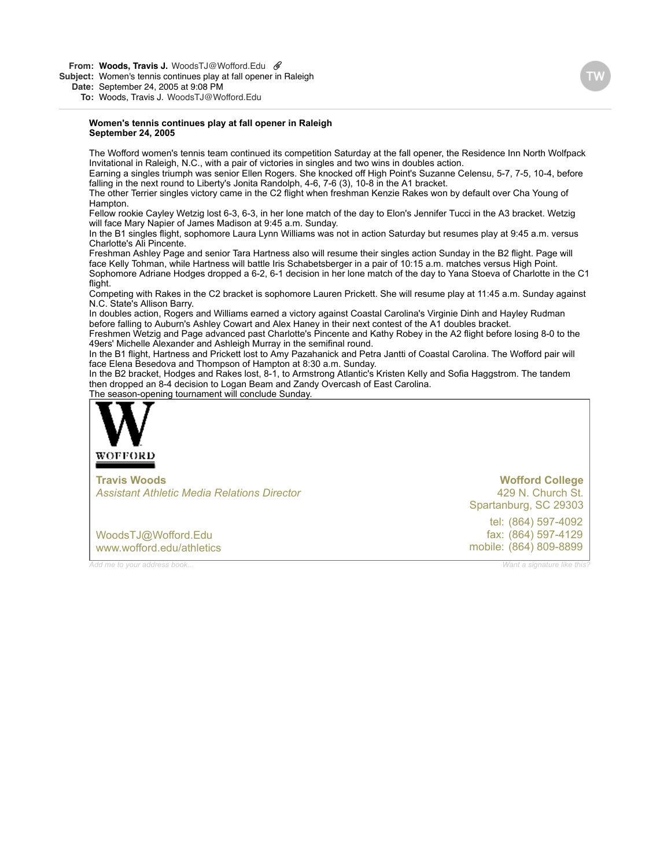**From: Woods, Travis [J.](mailto:J.WoodsTJ@Wofford.Edu)** [WoodsTJ@Wofford.Edu](mailto:J.WoodsTJ@Wofford.Edu)

**Subject:** Women's tennis continues play at fall opener in Raleigh

**Date:** September 24, 2005 at 9:08 PM

**To:** Woods, Travis [J.](mailto:J.WoodsTJ@Wofford.Edu) [WoodsTJ@Wofford.Edu](mailto:J.WoodsTJ@Wofford.Edu)

#### **Women's tennis continues play at fall opener in Raleigh September 24, 2005**

The Wofford women's tennis team continued its competition Saturday at the fall opener, the Residence Inn North Wolfpack Invitational in Raleigh, N.C., with a pair of victories in singles and two wins in doubles action.

Earning a singles triumph was senior Ellen Rogers. She knocked off High Point's Suzanne Celensu, 5-7, 7-5, 10-4, before falling in the next round to Liberty's Jonita Randolph, 4-6, 7-6 (3), 10-8 in the A1 bracket.

The other Terrier singles victory came in the C2 flight when freshman Kenzie Rakes won by default over Cha Young of Hampton

Fellow rookie Cayley Wetzig lost 6-3, 6-3, in her lone match of the day to Elon's Jennifer Tucci in the A3 bracket. Wetzig will face Mary Napier of James Madison at 9:45 a.m. Sunday.

In the B1 singles flight, sophomore Laura Lynn Williams was not in action Saturday but resumes play at 9:45 a.m. versus Charlotte's Ali Pincente.

Freshman Ashley Page and senior Tara Hartness also will resume their singles action Sunday in the B2 flight. Page will face Kelly Tohman, while Hartness will battle Iris Schabetsberger in a pair of 10:15 a.m. matches versus High Point. Sophomore Adriane Hodges dropped a 6-2, 6-1 decision in her lone match of the day to Yana Stoeva of Charlotte in the C1 flight.

Competing with Rakes in the C2 bracket is sophomore Lauren Prickett. She will resume play at 11:45 a.m. Sunday against N.C. State's Allison Barry.

In doubles action, Rogers and Williams earned a victory against Coastal Carolina's Virginie Dinh and Hayley Rudman before falling to Auburn's Ashley Cowart and Alex Haney in their next contest of the A1 doubles bracket.

Freshmen Wetzig and Page advanced past Charlotte's Pincente and Kathy Robey in the A2 flight before losing 8-0 to the 49ers' Michelle Alexander and Ashleigh Murray in the semifinal round.

In the B1 flight, Hartness and Prickett lost to Amy Pazahanick and Petra Jantti of Coastal Carolina. The Wofford pair will face Elena Besedova and Thompson of Hampton at 8:30 a.m. Sunday.

In the B2 bracket, Hodges and Rakes lost, 8-1, to Armstrong Atlantic's Kristen Kelly and Sofia Haggstrom. The tandem then dropped an 8-4 decision to Logan Beam and Zandy Overcash of East Carolina.

T[he season-ope](http://www.wofford.edu/athletics)ning tournament will conclude Sunday.



**Travis Woods** *Assistant Athletic Media Relations Director* **Wofford College**

tel: (864) 597-4092 fax: (864) 597-4129 mobile: (864) 809-8899

429 N. Church St. [Spartanburg, SC 29303](http://maps.yahoo.com/py/maps.py?Pyt=Tmap&addr=429+N.+Church+St.&csz=Spartanburg,+SC++29303&country=us)

[WoodsTJ@Wofford.Edu](mailto:WoodsTJ@Wofford.Edu) [www.wofford.edu/athletics](http://www.wofford.edu/athletics)

*[Add me to your address book...](https://www.plaxo.com/add_me?u=587393&v0=1169197&k0=50622497) [Want a signature like this?](http://www.plaxo.com/signature)*